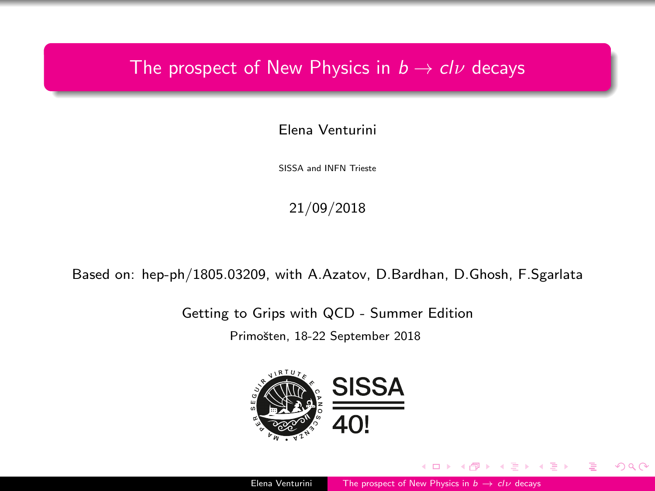### <span id="page-0-0"></span>The prospect of New Physics in  $b \to c l \nu$  decays

Elena Venturini

SISSA and INFN Trieste

21/09/2018

Based on: hep-ph/1805.03209, with A.Azatov, D.Bardhan, D.Ghosh, F.Sgarlata

Getting to Grips with QCD - Summer Edition

Primošten, 18-22 September 2018

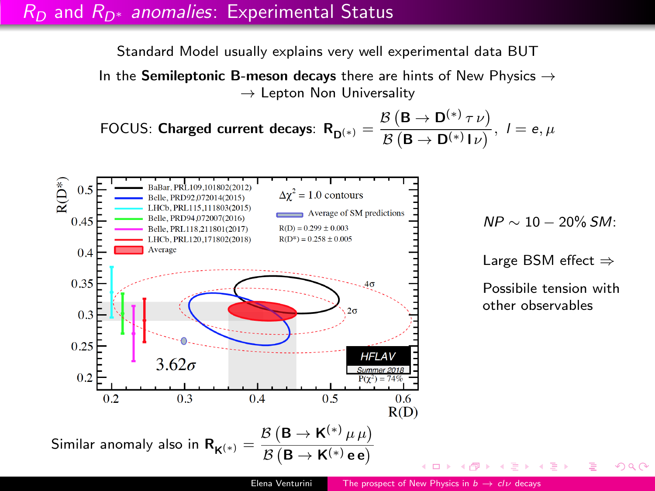#### $R_D$  and  $R_{D*}$  anomalies: Experimental Status

Standard Model usually explains very well experimental data BUT

In the Semileptonic B-meson decays there are hints of New Physics  $\rightarrow$  $\rightarrow$  Lepton Non Universality

FOCUS: Charged current decays:  $R_{D^{(*)}} = \frac{\mathcal{B}\left(\mathsf{B} \rightarrow \mathsf{D}^{(*)} \, \tau \, \nu\right)}{\mathcal{B}\left(\mathsf{B} \rightarrow \mathsf{D}^{(*)}\, \mathsf{I} \, \nu\right)}$  $\overrightarrow{B}$  (B  $\rightarrow$  D<sup>(\*)</sup> I*v*)</sub>,  $l = e, \mu$ 



 $NP \sim 10 - 20\%$  SM:

Large BSM effect ⇒

Possibile tension with other observables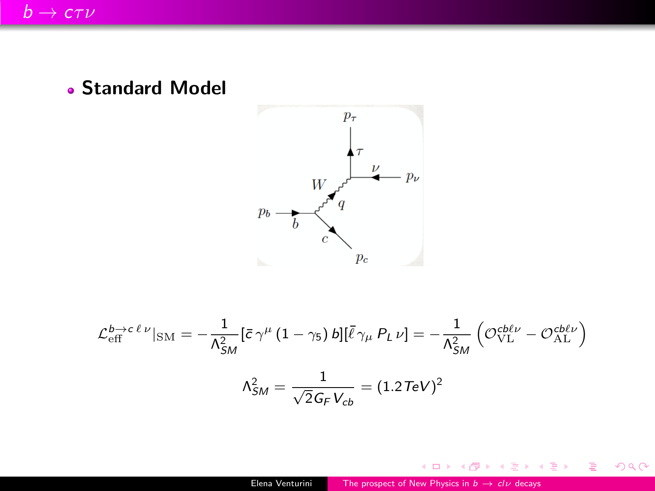Standard Model



$$
\mathcal{L}_{\text{eff}}^{b \to c \ell \nu}|_{\text{SM}} = -\frac{1}{\Lambda_{SM}^2} [\bar{c} \gamma^{\mu} (1 - \gamma_5) b] [\bar{\ell} \gamma_{\mu} P_L \nu] = -\frac{1}{\Lambda_{SM}^2} \left( \mathcal{O}_{\text{VL}}^{\text{c}b\ell \nu} - \mathcal{O}_{\text{AL}}^{\text{c}b\ell \nu} \right)
$$

$$
\Lambda_{SM}^2 = \frac{1}{\sqrt{2} G_F V_{cb}} = (1.2 \text{TeV})^2
$$

 $\leftarrow$  <br>  $\Box$  <br> )-

- 6

← 重→

э Þ. 唐

 $299$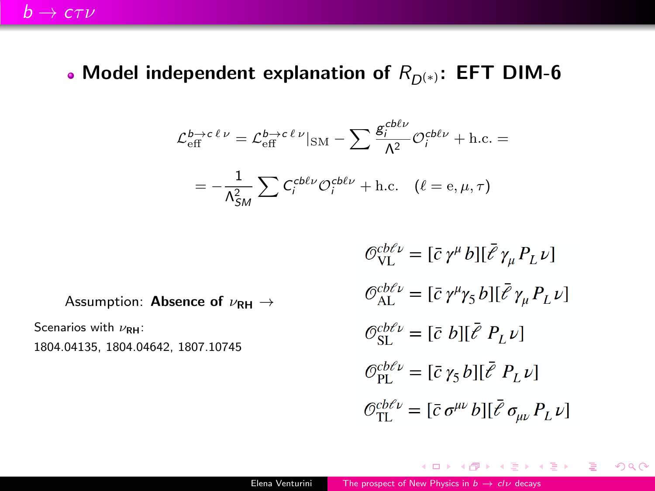#### • Model independent explanation of  $R_{D^{(*)}}$ : EFT DIM-6

$$
\mathcal{L}_{\text{eff}}^{b \to c \ell \nu} = \mathcal{L}_{\text{eff}}^{b \to c \ell \nu} |_{\text{SM}} - \sum \frac{g_i^{cbb\nu}}{\Lambda^2} \mathcal{O}_i^{cbb\nu} + \text{h.c.} =
$$

$$
= -\frac{1}{\Lambda_{SM}^2} \sum C_i^{cbb\nu} \mathcal{O}_i^{cbb\nu} + \text{h.c.} \quad (\ell = e, \mu, \tau)
$$

Assumption: **Absence of**  $\nu_{\text{RH}} \rightarrow$ 

Scenarios with  $\nu_{\text{RH}}$ :

1804.04135, 1804.04642, 1807.10745

$$
\begin{aligned}\n\mathcal{O}_{\text{VL}}^{cb\ell\nu} &= [\bar{c} \, \gamma^{\mu} \, b] [\bar{\ell} \, \gamma_{\mu} \, P_L \, \nu] \\
\mathcal{O}_{\text{AL}}^{cb\ell\nu} &= [\bar{c} \, \gamma^{\mu} \gamma_5 \, b] [\bar{\ell} \, \gamma_{\mu} \, P_L \, \nu] \\
\mathcal{O}_{\text{SL}}^{cb\ell\nu} &= [\bar{c} \, b] [\bar{\ell} \, P_L \, \nu] \\
\mathcal{O}_{\text{PL}}^{cb\ell\nu} &= [\bar{c} \, \gamma_5 \, b] [\bar{\ell} \, P_L \, \nu] \\
\mathcal{O}_{\text{TL}}^{cb\ell\nu} &= [\bar{c} \, \sigma^{\mu\nu} \, b] [\bar{\ell} \, \sigma_{\mu\nu} \, P_L \, \nu]\n\end{aligned}
$$

→ 伊 → → モ → → モ → ニ ヨ → つなぐ

4 0 8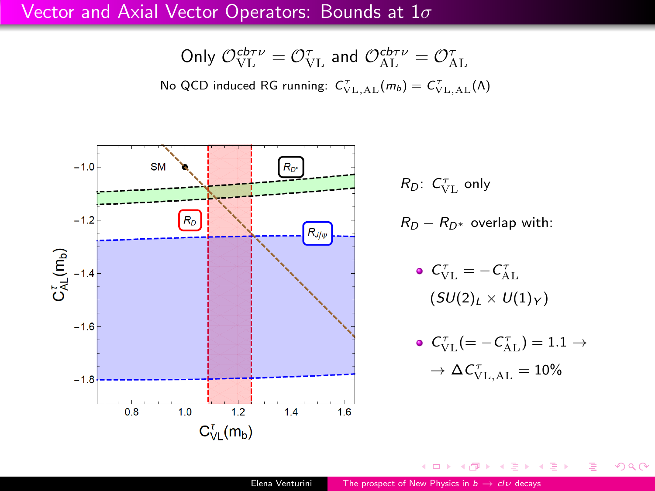#### Vector and Axial Vector Operators: Bounds at  $1\sigma$

Only 
$$
\mathcal{O}_{\text{VL}}^{\text{cb}_{\text{TU}}} = \mathcal{O}_{\text{VL}}^{\tau}
$$
 and  $\mathcal{O}_{\text{AL}}^{\text{cb}_{\text{TU}}} = \mathcal{O}_{\text{AL}}^{\tau}$ 

No QCD induced RG running:  $C_{\text{VL},\text{AL}}^{\tau}(m_b) = C_{\text{VL},\text{AL}}^{\tau}(\Lambda)$ 



 $\leftarrow$ 

 $299$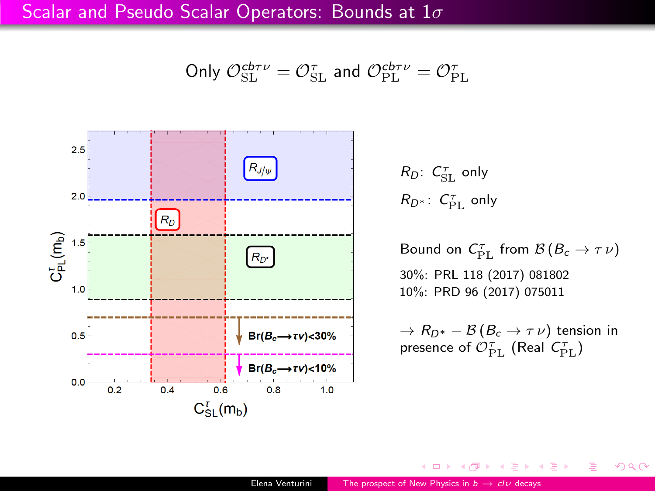Scalar and Pseudo Scalar Operators: Bounds at  $1\sigma$ 

Only 
$$
\mathcal{O}_{\text{SL}}^{\text{cb}\tau\nu} = \mathcal{O}_{\text{SL}}^{\tau}
$$
 and  $\mathcal{O}_{\text{PL}}^{\text{cb}\tau\nu} = \mathcal{O}_{\text{PL}}^{\tau}$ 



 $R_D$ :  $C_{\rm SL}^{\tau}$  only  $R_{D^*}$ :  $C_{\mathrm{PL}}^{\tau}$  only

Bound on  $C_{\rm PL}^{\tau}$  from  $\mathcal{B}\left(B_c\to\tau\nu\right)$ 30%: PRL 118 (2017) 081802 10%: PRD 96 (2017) 075011

 $\rightarrow R_{D^*} - B(B_c \rightarrow \tau \nu)$  tension in presence of  $\mathcal{O}^{\tau}_{\mathrm{PL}}$  (Real  $\mathcal{C}^{\tau}_{\mathrm{PL}}$ )

モミメ

 $299$ 

 $\leftarrow$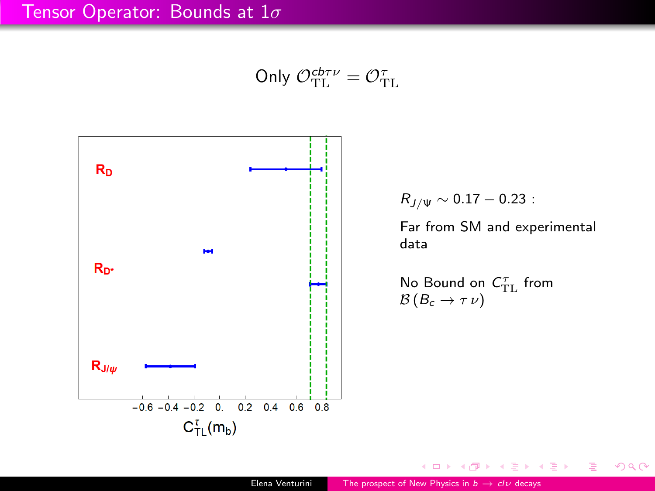Only 
$$
\mathcal{O}_{\text{TL}}^{\text{cb}_{\text{TL}}} = \mathcal{O}_{\text{TL}}^{\tau}
$$



4 **D** >

 $299$ 

э

∢ ∋ ⊳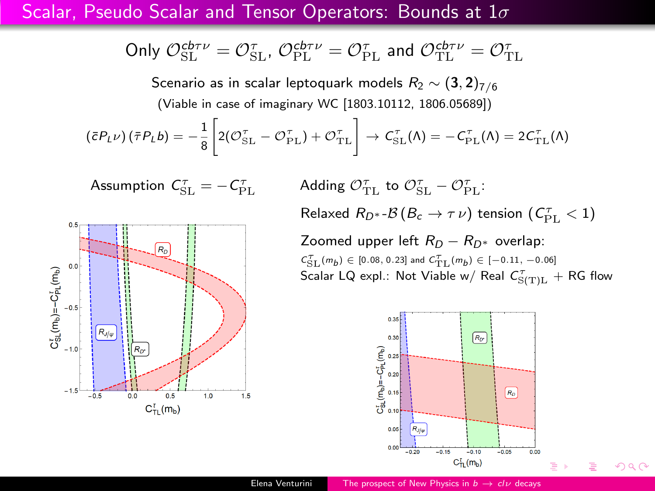#### Scalar, Pseudo Scalar and Tensor Operators: Bounds at  $1\sigma$

Only 
$$
\mathcal{O}_{\text{SL}}^{\text{cb} \tau \nu} = \mathcal{O}_{\text{SL}}^{\tau}
$$
,  $\mathcal{O}_{\text{PL}}^{\text{cb} \tau \nu} = \mathcal{O}_{\text{PL}}^{\tau}$  and  $\mathcal{O}_{\text{TL}}^{\text{cb} \tau \nu} = \mathcal{O}_{\text{TL}}^{\tau}$ 

Scenario as in scalar leptoquark models  $R_2 \sim (\mathbf{3}, \mathbf{2})_{7/6}$ (Viable in case of imaginary WC [1803.10112, 1806.05689])

$$
(\bar{c}P_L\nu)(\bar{\tau}P_Lb) = -\frac{1}{8}\left[2(\mathcal{O}_{\text{SL}}^{\tau} - \mathcal{O}_{\text{PL}}^{\tau}) + \mathcal{O}_{\text{TL}}^{\tau}\right] \rightarrow \mathcal{C}_{\text{SL}}^{\tau}(\Lambda) = -\mathcal{C}_{\text{PL}}^{\tau}(\Lambda) = 2\mathcal{C}_{\text{TL}}^{\tau}(\Lambda)
$$

$$
Assumption C_{\rm SL}^{\tau} = -C_{\rm PL}^{\tau}
$$

 $0.5$  $R<sub>D</sub>$  $0.0$  $C_{\rm SL}^{r}(m_b) = -C_{\rm PL}^{r}(m_b)$  $-0.5$  $R_{J/w}$  $-1.0$  $R_{\rm F}$  $-1.5$  $0.0$  $0.5$  $-0.5$  $1.0$  $1.5$  $C_{\text{TI}}^{t}$  (m<sub>b</sub>)

 $\mathcal{O}_{\text{PL}}^{\tau}$  Adding  $\mathcal{O}_{\text{TL}}^{\tau}$  to  $\mathcal{O}_{\text{SL}}^{\tau}$  –  $\mathcal{O}_{\text{PL}}^{\tau}$ : Relaxed  $R_{D^*}$ - $\mathcal{B}\left(B_c\to\tau\,\nu\right)$  tension  $(\,C_{\mathrm{PL}}^{\tau}<1)$ 

> Zoomed upper left  $R_D - R_{D^*}$  overlap:  $C_{\rm SL}^{\mathcal{T}}(m_b) \in [0.08, 0.23]$  and  $C_{\rm TL}^{\mathcal{T}}(m_b) \in [-0.11, -0.06]$ Scalar LQ expl.: Not Viable w/ Real  $C^\tau_{\rm S(T)L}$   $+$  RG flow



 $QQ$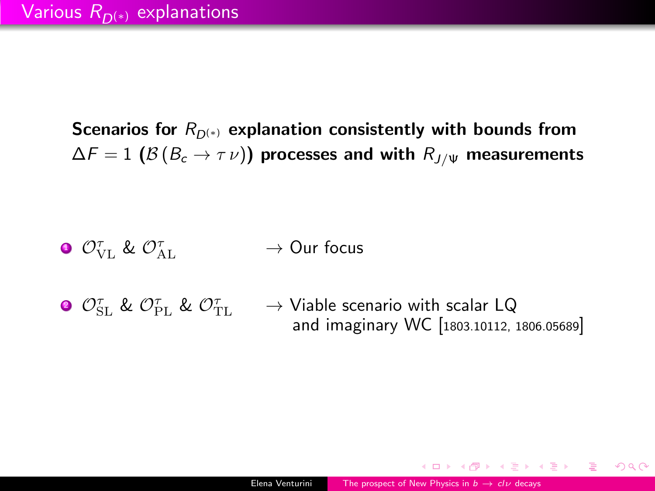Scenarios for  $R_{D(*)}$  explanation consistently with bounds from  $\Delta F = 1$  ( $\mathcal{B}(B_c \to \tau \nu)$ ) processes and with  $R_{J/\Psi}$  measurements

- $\mathbf 0$   $\mathcal O_{\mathrm{VL}}^{\tau}$  &  $\mathcal O_{\mathbb A}^{\tau}$  $\rightarrow$  Our focus
- $\mathcal{O}^{\tau}_{\mathrm{SL}}$  &  $\mathcal{O}^{\tau}_{\mathrm{PL}}$  &  $\mathcal{O}^{\tau}_{\mathrm{T}}$  $\rightarrow$  Viable scenario with scalar LQ and imaginary WC [1803.10112, 1806.05689]

AD > < E > < E >

 $QQ$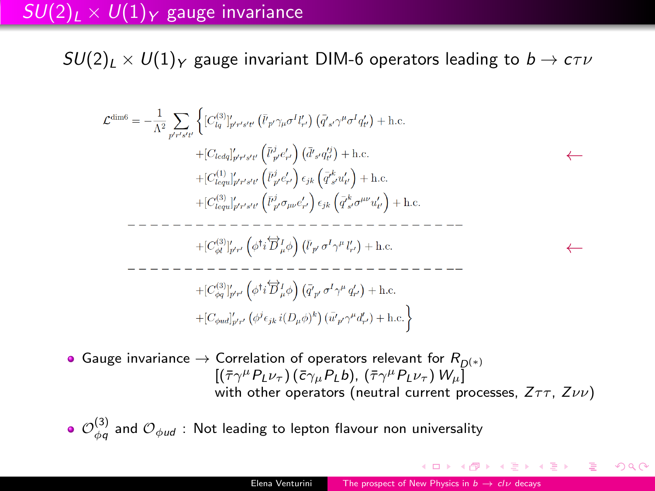### $SU(2)_L \times U(1)_Y$  gauge invariance

 $SU(2)_L \times U(1)_Y$  gauge invariant DIM-6 operators leading to  $b \to c \tau \nu$ 

← ←

Gauge invariance  $\rightarrow$  Correlation of operators relevant for  $R_{D(*)}$  $[(\bar{\tau}\gamma^{\mu}P_{L}\nu_{\tau})(\bar{c}\gamma_{\mu}P_{L}b),(\bar{\tau}\gamma^{\mu}P_{L}\nu_{\tau})W_{\mu}]$ with other operators (neutral current processes,  $Z\tau\tau$ ,  $Z\nu\nu$ )

 $\mathcal{O}_{\phi q}^{(3)}$  and  $\mathcal{O}_{\phi ud}$  : Not leading to lepton flavour non universality

AD → ∢ ∃ → ∢ ∃ →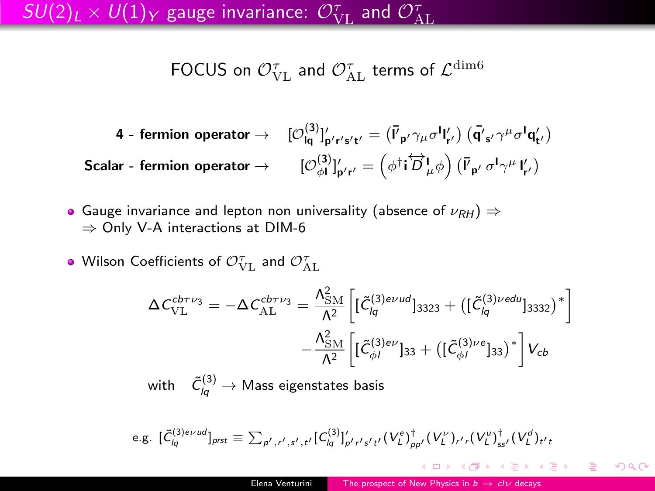FOCUS on  $\mathcal{O}^{\tau}_{\text{VL}}$  and  $\mathcal{O}^{\tau}_{\text{AL}}$  terms of  $\mathcal{L}^{\text{dim}6}$ 

$$
\begin{array}{cc} \textbf{4 - fermion operator} \rightarrow & [\mathcal{O}_{\mathsf{lq}}^{(3)}]_{p' r' s' t'}' = \left(\bar{V}_{p'} \gamma_{\mu} \sigma^{\mathsf{l}}{}_{\mathsf{r}'}' \right) \left(\bar{\mathsf{q}}'_{s'} \gamma^{\mu} \sigma^{\mathsf{l}}{}_{\mathsf{q}'}' \right) \\ \textbf{Scalar - fermion operator} \rightarrow & [\mathcal{O}_{\phi\mathsf{l}}^{(3)}]_{p' r'}' = \left(\phi^{\dagger} \mathsf{i} \overleftrightarrow{D}_{\mu}^{\mathsf{l}} \phi \right) \left(\bar{V}_{p'} \, \sigma^{\mathsf{l}} \gamma^{\mu} \, \mathsf{l}_{\mathsf{r}'}' \right) \end{array}
$$

- Gauge invariance and lepton non universality (absence of  $\nu_{RH}$ )  $\Rightarrow$ ⇒ Only V-A interactions at DIM-6
- Wilson Coefficients of  $\mathcal{O}^{\tau}_{\text{VL}}$  and  $\mathcal{O}^{\tau}_{\text{AL}}$

$$
\Delta C_{\text{VL}}^{\text{cbry}_3} = -\Delta C_{\text{AL}}^{\text{cbry}_3} = \frac{\Lambda_{\text{SM}}^2}{\Lambda^2} \left[ [\tilde{C}_{lq}^{(3) \text{eVud}}]_{3323} + ([\tilde{C}_{lq}^{(3) \text{vedu}}]_{3332})^* \right] \n- \frac{\Lambda_{\text{SM}}^2}{\Lambda^2} \left[ [\tilde{C}_{\phi l}^{(3) \text{eV}}]_{33} + ([\tilde{C}_{\phi l}^{(3) \text{eV}}]_{33})^* \right] V_{cb}
$$
\nwith  $\tilde{C}_{lq}^{(3)} \to \text{Mass eigenstates basis}$ 

e.g. 
$$
[\tilde{C}_{lq}^{(3)e\nu ud}]_{prst} \equiv \sum_{p',r',s',t'} [C_{lq}^{(3)}]_{p'r's't'}'(V_L^e)_{pp'}^{\dagger}(V_L^{\nu})_{r',s'}(V_L^{\mu})_{ss'}^{\dagger}(V_L^d)_{t't}
$$

AD → ∢ ∃ → ∢ ∃ →

目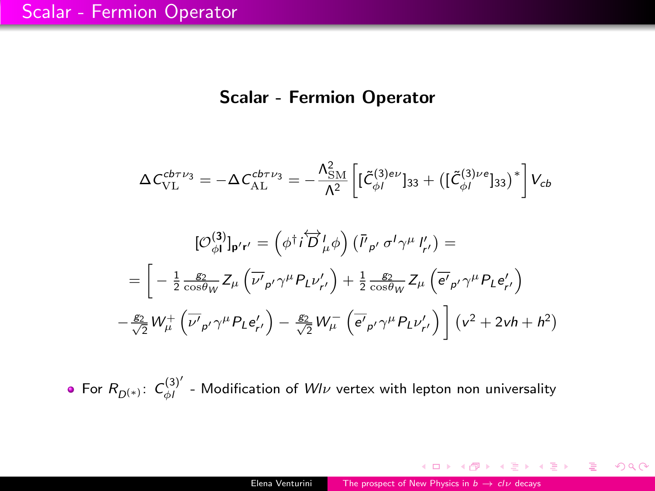#### Scalar - Fermion Operator

<span id="page-11-0"></span>
$$
\Delta C_{\text{VL}}^{cb\tau\nu_3} = -\Delta C_{\text{AL}}^{cb\tau\nu_3} = -\frac{\Lambda_{\text{SM}}^2}{\Lambda^2} \left[ [\tilde{C}_{\phi}^{(3)e\nu}]_{33} + ([\tilde{C}_{\phi I}^{(3)ee\sigma}]_{33})^* \right] V_{cb}
$$

$$
[\mathcal{O}_{\phi I}^{(3)}]_{\mathbf{p' r'}} = (\phi^\dagger i \overleftrightarrow{D}_\mu^{\dagger} \phi) (\overline{P}_{\rho'} \sigma^I \gamma^\mu I'_{r'}) =
$$

$$
= \left[ -\frac{1}{2} \frac{g_2}{\cos \theta_W} Z_\mu \left( \overline{\nu'}_{\rho'} \gamma^\mu P_L \nu'_{r'} \right) + \frac{1}{2} \frac{g_2}{\cos \theta_W} Z_\mu \left( \overline{e'}_{\rho'} \gamma^\mu P_L e'_{r'} \right) -\frac{g_2}{\sqrt{2}} W_\mu^+ \left( \overline{\nu'}_{\rho'} \gamma^\mu P_L e'_{r'} \right) - \frac{g_2}{\sqrt{2}} W_\mu^- \left( \overline{e'}_{\rho'} \gamma^\mu P_L \nu'_{r'} \right) \right] (v^2 + 2vh + h^2)
$$

For  $R_{D^{(*)}}$ :  $C_{\phi I}^{(3)'}$  - Modification of  $Wl\nu$  vertex with lepton non universality

K ロ ▶ K 個 ▶ K 君 ▶ K 君 ▶ ○ 君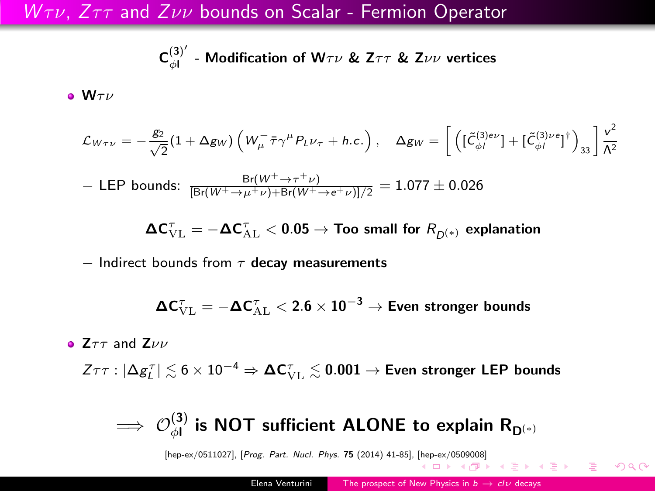#### <span id="page-12-0"></span> $W \tau \nu$ ,  $Z \tau \tau$  and  $Z \nu \nu$  bounds on Scalar - Fermion Operator

$$
C_{\phi}^{(3)'}\text{ - Modification of }W\tau\nu \text{ \& }Z\tau\tau \text{ \& }Z\nu\nu \text{ vertices}
$$

 $\bullet$  W $\tau\nu$ 

$$
\mathcal{L}_{W\tau\nu} = -\frac{g_2}{\sqrt{2}} (1 + \Delta g_W) \left( W_\mu^- \bar{\tau} \gamma^\mu P_L \nu_\tau + h.c. \right), \quad \Delta g_W = \left[ \left( [\tilde{\mathcal{L}}_{\phi}^{(3)ee} ] + [\tilde{\mathcal{L}}_{\phi}^{(3)ee} ]^{\dagger} \right)_{33} \right] \frac{v^2}{\Lambda^2}
$$

$$
- \text{ LEP bounds: } \frac{Br(W^+ \to \tau^+ \nu)}{[Br(W^+ \to \mu^+ \nu) + Br(W^+ \to e^+ \nu)]/2} = 1.077 \pm 0.026
$$

$$
\Delta \textbf{C}^{\tau}_{\mathrm{VL}} = - \Delta \textbf{C}^{\tau}_{\mathrm{AL}} < 0.05 \rightarrow \textbf{Too small for } R_{\textbf{D}^{(*)}} \textbf{ explanation}
$$

 $-$  Indirect bounds from  $\tau$  decay measurements

$$
\Delta C_{\mathrm{VL}}^{\tau} = -\Delta C_{\mathrm{AL}}^{\tau} < 2.6 \times 10^{-3} \rightarrow \text{Even stronger bounds}
$$

•  $Z\tau\tau$  and  $Z\nu\nu$ 

 $Z\tau\tau:|\Delta g_L^\tau|\lesssim 6\times 10^{-4}\Rightarrow \boldsymbol\Delta \textsf{C}^\tau_{\rm VL}\lesssim 0.001\to {\sf Even \ stronger \ LEP \ bounds}$ 

## $\implies \mathcal{O}_{\phi\textsf{I}}^{(3)}$  is NOT sufficient ALONE to explain  $\mathsf{R}_{\mathsf{D}^{(\ast)}}$

[hep-ex/0511027], [Prog. Part. Nucl. Phys. 75 (2014) 41-85], [\[hep](#page-11-0)-e[x/0](#page-13-0)[50](#page-11-0)[9008](#page-12-0)[\]](#page-13-0)

 $2990$ 

重き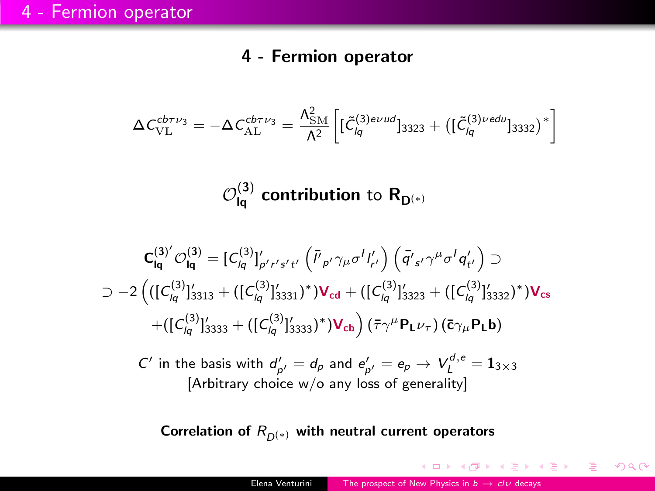#### 4 - Fermion operator

<span id="page-13-0"></span>
$$
\Delta\textit{\textsf{C}}_{\mathrm{VL}}^{\textit{cb}\tau\nu_{3}}=-\Delta\textit{\textsf{C}}_{\mathrm{AL}}^{\textit{cb}\tau\nu_{3}}=\frac{\Lambda_{\mathrm{SM}}^{2}}{\Lambda^{2}}\bigg[[\tilde{\textit{\textsf{C}}}{}_{\textit{lq}}^{(3)\textit{evud}}]_{3323}+\big([\tilde{\textit{\textsf{C}}}{}_{\textit{lq}}^{(3)\textit{vedu}}]_{3332}\big)^{*}\bigg]
$$

 $\mathcal{O}^{(3)}_{\mathsf{Iq}}$  contribution to  $\mathsf{R}_{\mathsf{D}^{(*)}}$ 

$$
\begin{aligned} \mathbf{C}_{\mathsf{Iq}}^{(3)'} \mathcal{O}_{\mathsf{Iq}}^{(3)} &= [C_{\mathsf{Iq}}^{(3)}]_{p' \cdot r' s' \cdot t'}' \left( \bar{l'}_{p'} \gamma_{\mu} \sigma^{l} l'_{r'} \right) \left( \bar{q'}_{s'} \gamma^{\mu} \sigma^{l} q'_{t'} \right) \supset \\ & \supset -2 \left( ([C_{\mathsf{Iq}}^{(3)}]_{3313}' + ([C_{\mathsf{Iq}}^{(3)}]_{3331}')^* ) \mathbf{V}_{\mathbf{c}\mathbf{d}} + ([C_{\mathsf{Iq}}^{(3)}]_{3323}' + ([C_{\mathsf{Iq}}^{(3)}]_{3332}')^* ) \mathbf{V}_{\mathbf{c}\mathbf{s}} \\ & \quad + ([C_{\mathsf{Iq}}^{(3)}]_{3333}' + ([C_{\mathsf{Iq}}^{(3)}]_{3333}')^* ) \mathbf{V}_{\mathbf{c}\mathbf{b}} \right) \left( \bar{\tau} \gamma^{\mu} \mathbf{P}_{\mathbf{L}} \nu_{\tau} \right) \left( \bar{\mathbf{c}} \gamma_{\mu} \mathbf{P}_{\mathbf{L}} \mathbf{b} \right) \end{aligned}
$$

 $C'$  in the basis with  $d'_{p'} = d_p$  and  $e'_{p'} = e_p \rightarrow V_L^{d,e} = \mathbf{1}_{3 \times 3}$ [Arbitrary choice w/o any loss of generality]

Correlation of  $R_{D(*)}$  with neutral current operators

イタメ イミメ イラメー

 $2990$ 

目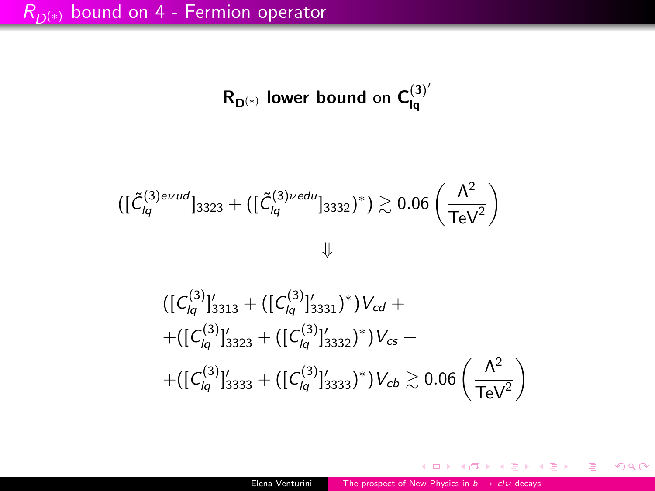$R_{D^{(*)}}$  lower bound on  $C^{(3)'}_{lq}$ lq

$$
([\tilde{\mathcal{C}}_{lq}^{(3)evud}]_{3323} + ([\tilde{\mathcal{C}}_{lq}^{(3)vedu}]_{3332})^*) \gtrsim 0.06 \left(\frac{\Lambda^2}{\text{TeV}^2}\right)
$$

$$
\begin{aligned}\n &\left( \left[ C_{lq}^{(3)} \right]_{3313}^{\prime} + \left( \left[ C_{lq}^{(3)} \right]_{3331}^{\prime} \right) \right) V_{cd} + \\
 &+ \left( \left[ C_{lq}^{(3)} \right]_{3323}^{\prime} + \left( \left[ C_{lq}^{(3)} \right]_{3332}^{\prime} \right)^{*} \right) V_{cs} + \\
 &+ \left( \left[ C_{lq}^{(3)} \right]_{3333}^{\prime} + \left( \left[ C_{lq}^{(3)} \right]_{3333}^{\prime} \right)^{*} \right) V_{cb} \gtrsim 0.06 \left( \frac{\Lambda^2}{\text{TeV}^2} \right)\n \end{aligned}
$$

メロメ メ御 メメ きょうくきょう

重

 $299$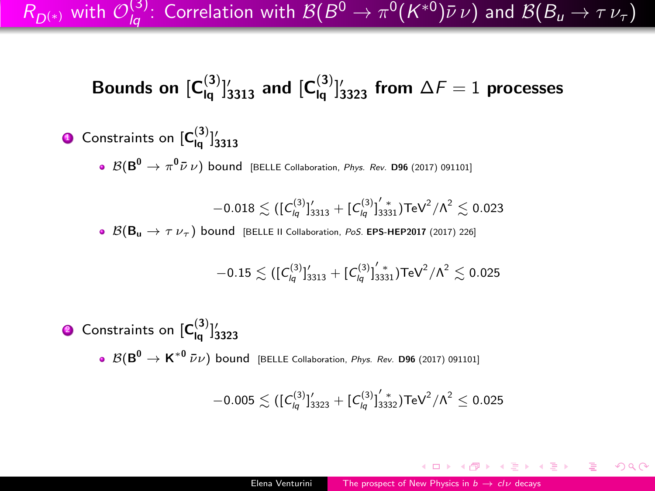$R_{D^{(*)}}$  with  $\mathcal{O}_{lq}^{(3)}$ : Correlation with  $\mathcal{B}(B^0\to\pi^0(K^{*0})\bar\nu\,\nu)$  and  $\mathcal{B}(B_u\to\tau\,\nu_\tau)$ 

## Bounds on  $[\mathsf{C}^{(3)}_{\mathsf{lq}}]_{3313}'$  and  $[\mathsf{C}^{(3)}_{\mathsf{lq}}]_{3323}'$  from  $\Delta \mathcal{F}=1$  processes

### $\bullet$  Constraints on  $[\textsf{C}^{(3)}_{\mathsf{Iq}}]_{3313}'$

 $\mathcal{B}(\mathsf{B}^0 \to \pi^0 \bar{\nu} \, \nu)$  bound [BELLE Collaboration, *Phys. Rev.* D96 (2017) 091101]

 $-0.018 \lesssim ( [ \emph{\textbf{C}}_{\textit{lq}}^{(3)} ]_{3313}^{\prime} + [ \emph{\textbf{C}}_{\textit{lq}}^{(3)} ]_{3331}^{\prime} ) \text{TeV}^2 /\Lambda^2 \lesssim 0.023$ 

 $\bullet$   $\mathcal{B}(\mathsf{B}_{\mathsf{u}} \to \tau \nu_{\tau})$  bound [BELLE II Collaboration, PoS. EPS-HEP2017 (2017) 226]

$$
-0.15 \lesssim ([\mathit{C}^{(3)}_{lq}]_{3313}^{\prime}+[\mathit{C}^{(3)}_{lq}]_{3331}^{\prime\,*})\mathsf{TeV}^{2}/\Lambda^{2} \lesssim 0.025
$$

 $\bullet$  Constraints on  $[\mathsf{C}^{(3)}_{\mathsf{Iq}}]_{3323}'$  ${\cal B}(\textsf{B}^0 \to \textsf{K}^{*0}\,\bar\nu\nu)$  bound [BELLE Collaboration, *Phys. Rev.* D96 (2017) 091101]

$$
-0.005 \lesssim ([C_{lq}^{(3)}]_{3323}^\prime + [C_{lq}^{(3)}]_{3332}^\prime) \text{TeV}^2/\Lambda^2 \leq 0.025
$$

**何 ) ィミ ) ィミ )** 三

 $QQ$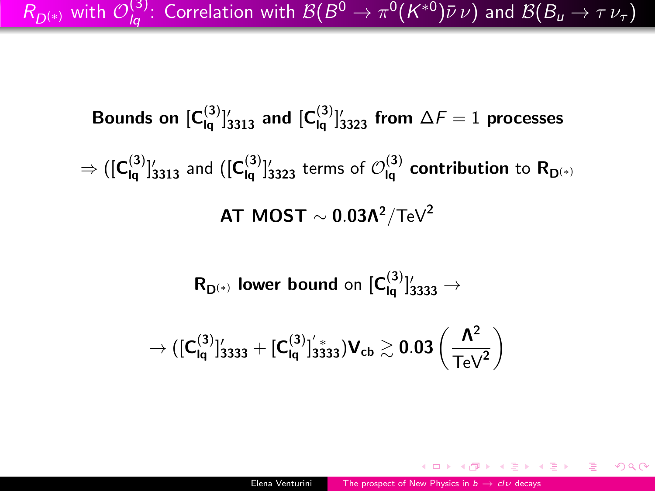$R_{D^{(*)}}$  with  $\mathcal{O}_{lq}^{(3)}$ : Correlation with  $\mathcal{B}(B^0\to\pi^0(K^{*0})\bar\nu\,\nu)$  and  $\mathcal{B}(B_u\to\tau\,\nu_\tau)$ 

Bounds on  $[\mathsf{C}^{(3)}_{\mathsf{Iq}}]_{3313}'$  and  $[\mathsf{C}^{(3)}_{\mathsf{Iq}}]_{3323}'$  from  $\Delta \digamma = 1$  processes  $\Rightarrow ([{\sf C}^{(3)}_{\mathsf{lq}}]_{3313}'$  and  $([{\sf C}^{(3)}_{\mathsf{lq}}]_{3323}'$  terms of  ${\cal O}^{(3)}_{\mathsf{lq}}$  contribution to  ${\sf R}_{{\sf D}^{(*)}}$ AT MOST  $\sim$  0.03Λ<sup>2</sup>/TeV<sup>2</sup>

 $R_{\mathsf{D}^{(*)}}$  lower bound on  $[\mathsf{C}^{(3)}_{\mathsf{Iq}}]_{3333}^{\prime} \rightarrow$ 

$$
\to ([C_{\text{Iq}}^{(3)}]_{3333}'+[C_{\text{Iq}}^{(3)}]_{3333}^{'})V_{\text{cb}} \gtrsim 0.03\left(\frac{\Lambda^2}{\text{TeV}^2}\right)
$$

 $QQ$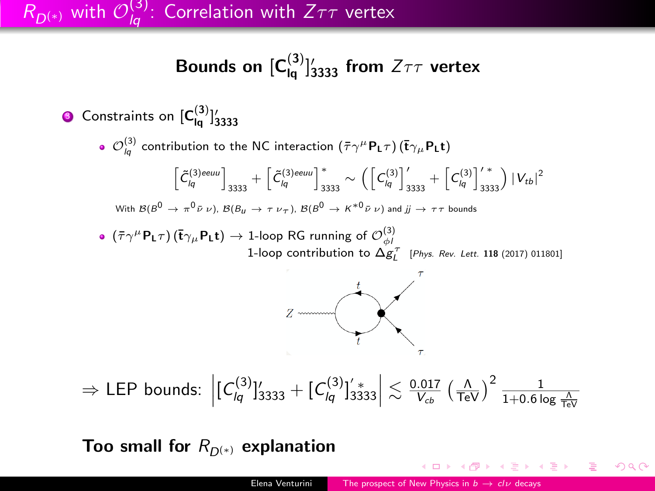## $R_{D^{(*)}}$  with  $\mathcal{O}^{(3)}_{lq}$ : Correlation with  $Z\tau\tau$  vertex

## Bounds on  $[\textbf{C}_{\textsf{Iq}}^{(3)}]_{3333}^{\prime}$  from  $Z\tau\tau$  vertex

\n- \n**6** Constraints on 
$$
[C_{\mathsf{Iq}}^{(3)}]_{3333}^{\prime}
$$
\n
\n- \n**7**  $\mathcal{O}_{\mathsf{Iq}}^{(3)}$  contribution to the NC interaction  $(\bar{\tau}\gamma^{\mu}P_{\mathsf{L}}\tau) (\bar{t}\gamma_{\mu}P_{\mathsf{L}}t)$ \n
$$
\left[\tilde{C}_{\mathsf{Iq}}^{(3)eeu} \right]_{3333} + \left[\tilde{C}_{\mathsf{Iq}}^{(3)eeu} \right]_{3333}^* \sim \left( \left[C_{\mathsf{Iq}}^{(3)} \right]_{3333}^{\prime\prime} + \left[C_{\mathsf{Iq}}^{(3)} \right]_{3333}^{\prime\prime} \right) |V_{tb}|^2
$$
\n
\n- \n With  $B(B^0 \to \pi^0 \bar{\nu} \nu)$ ,  $B(B_u \to \tau \nu_{\tau})$ ,  $B(B^0 \to K^{*0} \bar{\nu} \nu)$  and  $j \to \tau\tau$  bounds\n
\n- \n**8**  $(\bar{\tau}\gamma^{\mu}P_{\mathsf{L}}\tau) (\bar{t}\gamma_{\mu}P_{\mathsf{L}}t) \to 1$ -loop RG running of  $\mathcal{O}_{\phi}^{(3)}$ \n $1$ -loop contribution to  $\Delta g_{\mathsf{L}}^{\tau}$  [Phys. Rev. Let: 118 (2017) 011801]\n
\n- \n 2  $\overline{\phantom{0}}$ \n
\n- \n 3  $\overline{\phantom{0}}$ \n
\n- \n 4  $\overline{\phantom{0}}$ \n
\n- \n 5  $\overline{\phantom{0}}$ \n
\n- \n 6  $\overline{\phantom{0}}$ \n
\n- \n 7  $\overline{\phantom{0}}$ \n
\n- \n 8  $\overline{\phantom{0}}$ \n
\n- \n 9  $\overline{\phantom{0}}$ \n

Too small for  $R_{D^{(*)}}$  explanation

4 **D** >

 $299$ 

э

モミメ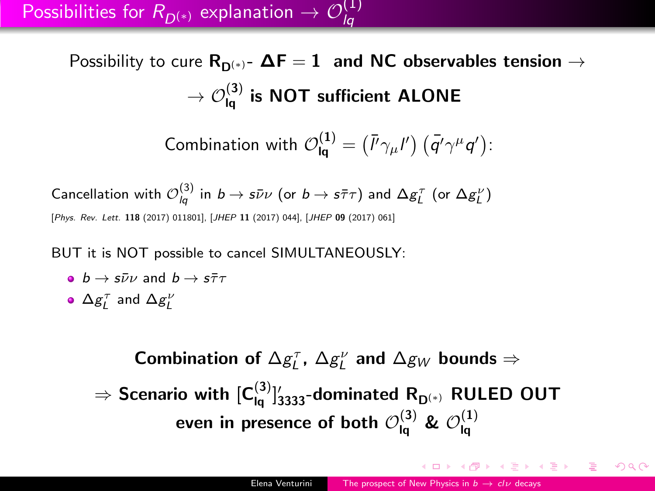Possibility to cure  $R_{D(*)}$ -  $\Delta F = 1$  and NC observables tension  $\rightarrow$  $\rightarrow$   $\mathcal{O}^{(3)}_{\mathsf{Iq}}$  is NOT sufficient ALONE

Combination with 
$$
\mathcal{O}_{\mathsf{Iq}}^{(1)} = (\bar{P}\gamma_\mu I') (\bar{q'}\gamma^\mu q')
$$
:

Cancellation with  $\mathcal{O}_{lq}^{(3)}$  in  $b\to s\bar\nu\nu$  (or  $b\to s\bar\tau\tau)$  and  $\Delta g_L^\tau$  (or  $\Delta g_L^\nu)$ [Phys. Rev. Lett. 118 (2017) 011801], [JHEP 11 (2017) 044], [JHEP 09 (2017) 061]

BUT it is NOT possible to cancel SIMULTANEOUSLY:

- $b \rightarrow s\bar{\nu}\nu$  and  $b \rightarrow s\bar{\tau}\tau$
- $\Delta g_{L}^{\tau}$  and  $\Delta g_{L}^{\nu}$

Combination of  $\Delta g_L^{\tau}$ ,  $\Delta g_L^{\nu}$  and  $\Delta g_W$  bounds  $\Rightarrow$  $\Rightarrow$  Scenario with  $[\mathsf{C}^{(3)}_{\mathsf{Iq}}]_{3333}^{\prime}$ -dominated  $\mathsf{R}_{\mathsf{D}^{(*)}}$  RULED OUT even in presence of both  $\mathcal{O}^{(3)}_{\mathsf{Iq}}$  &  $\mathcal{O}^{(1)}_{\mathsf{Iq}}$ lq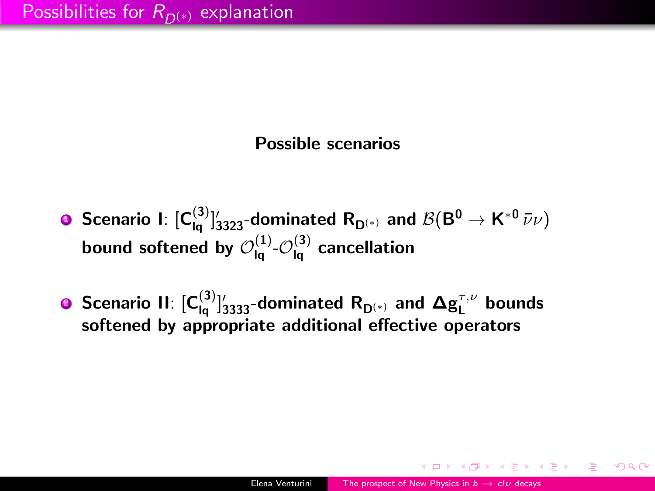#### Possible scenarios

- **D** Scenario I:  $[\mathsf{C}_{\mathsf{Iq}}^{(3)}]_{3323}^{\prime}$ -dominated  $\mathsf{R}_{\mathsf{D}^{(*)}}$  and  $\mathcal{B}(\mathsf{B}^0 \to \mathsf{K}^{*0}\,\bar\nu\nu)$ bound softened by  $\mathcal{O}^{(1)}_{\mathsf{Iq}}$  - $\mathcal{O}^{(3)}_{\mathsf{Iq}}$  cancellation
- **9** Scenario II:  $[\mathsf{C}_{\mathsf{Iq}}^{(3)}]_{3333}^{\prime}$ -dominated  $\mathsf{R}_{\mathsf{D}^{(*)}}$  and  $\mathbf{\Delta g}_\mathsf{L}^{\tau,\nu}$  bounds softened by appropriate additional effective operators

K @ → K 호 → K 호 → H 호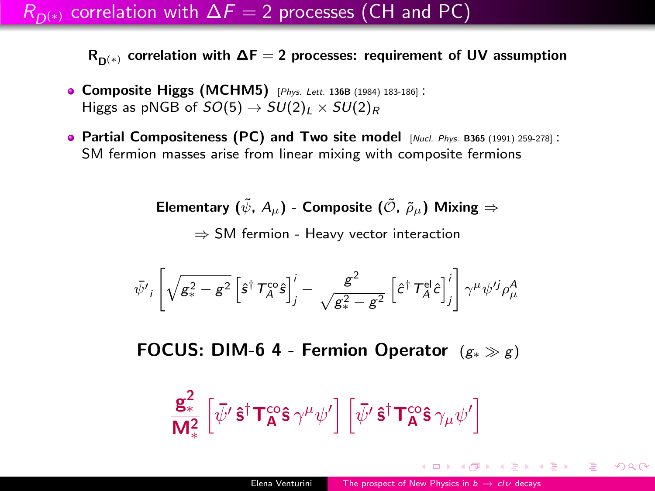### $R_{D(*)}$  correlation with  $\Delta F = 2$  processes (CH and PC)

 $R_{D(*)}$  correlation with  $\Delta F = 2$  processes: requirement of UV assumption

- Composite Higgs (MCHM5) [Phys. Lett. 136B (1984) 183-186] : Higgs as pNGB of  $SO(5) \rightarrow SU(2)_L \times SU(2)_R$
- Partial Compositeness (PC) and Two site model  $_{[Nucl. Phys. B365 (1991) 259-278]}$ : SM fermion masses arise from linear mixing with composite fermions

Elementary ( $\tilde{\psi}$ ,  $A_{\mu}$ ) - Composite ( $\tilde{\mathcal{O}}$ ,  $\tilde{\rho}_{\mu}$ ) Mixing  $\Rightarrow$ ⇒ SM fermion - Heavy vector interaction

$$
\bar{\psi'}_i\left[\sqrt{g_*^2-g^2}\left[\hat{s}^\dagger\, \mathcal{T}_A^c\hat{s}\right]_j^i - \frac{g^2}{\sqrt{g_*^2-g^2}}\left[\hat{c}^\dagger\, \mathcal{T}_A^{\text{el}}\hat{c}\right]_j^i\right]\gamma^\mu\psi'^j\rho^A_\mu
$$

FOCUS: DIM-6 4 - Fermion Operator  $(g_* \gg g)$ 

$$
\frac{\mathbf{g}^2_*}{\mathbf{M}^2_*}\left[\bar{\psi'}\,\mathbf{\hat{s}}^\dagger\mathbf{T}^{co}_{\mathbf{A}}\mathbf{\hat{s}}\,\gamma^\mu\psi'\right]\left[\bar{\psi'}\,\mathbf{\hat{s}}^\dagger\mathbf{T}^{co}_{\mathbf{A}}\mathbf{\hat{s}}\,\gamma_\mu\psi'\right]
$$

イロメ イ何メ イヨメ イヨメーヨ

 $QQ$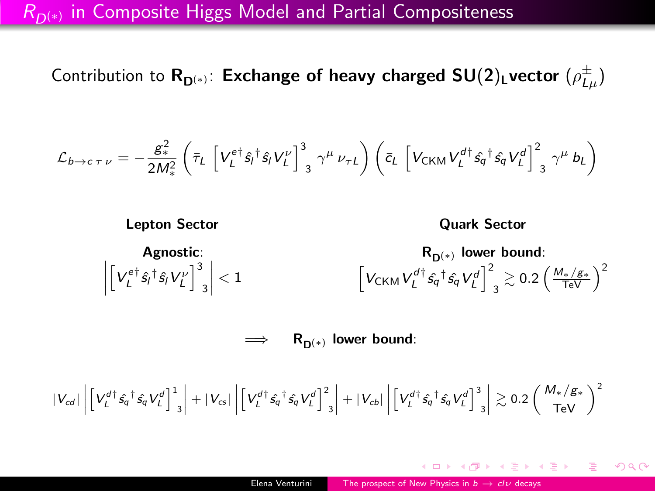#### $R_{D(*)}$  in Composite Higgs Model and Partial Compositeness

Contribution to  $\mathsf{R}_{\mathsf{D}^{(*)}}$ : Exchange of heavy charged SU(2)<sub>L</sub>vector  $(\rho_{L\mu}^\pm)$ 

$$
\mathcal{L}_{b \to c \tau \nu} = -\frac{g_*^2}{2M_*^2} \left( \bar{\tau}_L \left[ V_L^{e\dagger} \hat{s}_l^{\dagger} \hat{s}_l V_L^{\nu} \right]_3^3 \gamma^{\mu} \nu_{\tau L} \right) \left( \bar{c}_L \left[ V_{CKM} V_L^{d\dagger} \hat{s}_q^{\dagger} \hat{s}_q V_L^d \right]_3^2 \gamma^{\mu} b_L \right)
$$



 $\implies$  R<sub>D(\*)</sub> lower bound:

$$
|V_{cd}|\left|\left[V_L^{d\dagger}\hat{s_q}^{\dagger}\hat{s_q}V_L^d\right]_{3}^1\right|+|V_{cs}|\left|\left[V_L^{d\dagger}\hat{s_q}^{\dagger}\hat{s_q}V_L^d\right]_{3}^2\right|+|V_{cb}|\left|\left[V_L^{d\dagger}\hat{s_q}^{\dagger}\hat{s_q}V_L^d\right]_{3}^3\right|\gtrsim 0.2\left(\frac{M_*/\mathcal{S}_*}{\text{TeV}}\right)^2
$$

個 ▶ スミン スミント 差

 $\eta$ an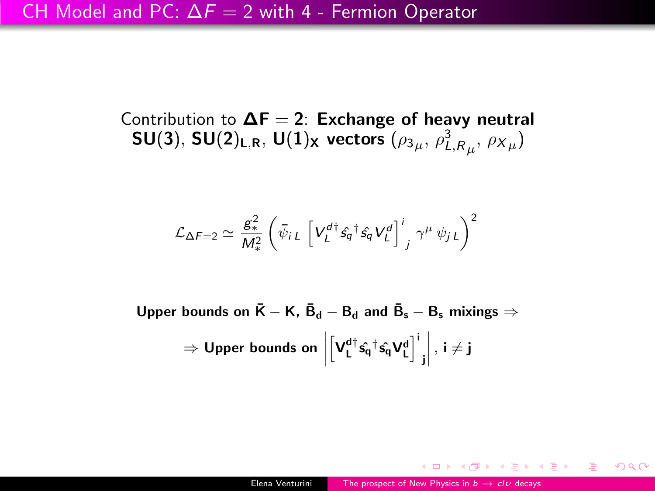Contribution to  $\Delta F = 2$ : Exchange of heavy neutral  $\mathsf{SU}(3),\,\mathsf{SU}(2)_{\mathsf{L},\mathsf{R}},\,\mathsf{U}(1)_{\mathsf{X}}$  vectors  $(\rho_{3\mu},\,\rho_{L,\mathsf{R}_{\mu}}^3,\,\rho_{{X}_{\mu}})$ 

$$
\mathcal{L}_{\Delta F=2} \simeq \frac{g_*^2}{M_*^2} \left( \bar{\psi}_{i\,L} \left[ V_L^{d\dagger} \hat{s}_q^{\ \dagger} \hat{s}_q V_L^{d} \right]^i_{j} \gamma^{\mu} \psi_{j\,L} \right)^2
$$

Upper bounds on  $\bar{\bm{\mathsf{K}}} - \bm{\mathsf{K}}, \ \bar{\bm{\mathsf{B}}}_{\mathsf{d}} - \bm{\mathsf{B}}_{\mathsf{d}}$  and  $\bar{\bm{\mathsf{B}}}_{\mathsf{s}} - \bm{\mathsf{B}}_{\mathsf{s}}$  mixings  $\Rightarrow$  $\Rightarrow$  Upper bounds on  $\Big|$  $\left[\mathbf{V}^{\mathbf{d}\dagger}_{\mathbf{L}}\hat{\mathbf{s_{q}}^{\dagger}}\hat{\mathbf{s_{q}}} \mathbf{V}^{\mathbf{d}}_{\mathbf{L}}\right]^{i}$ j  $\begin{array}{c} \begin{array}{c} \begin{array}{c} \begin{array}{c} \end{array} \\ \begin{array}{c} \end{array} \end{array} \end{array} \end{array}$ , i  $\neq$  j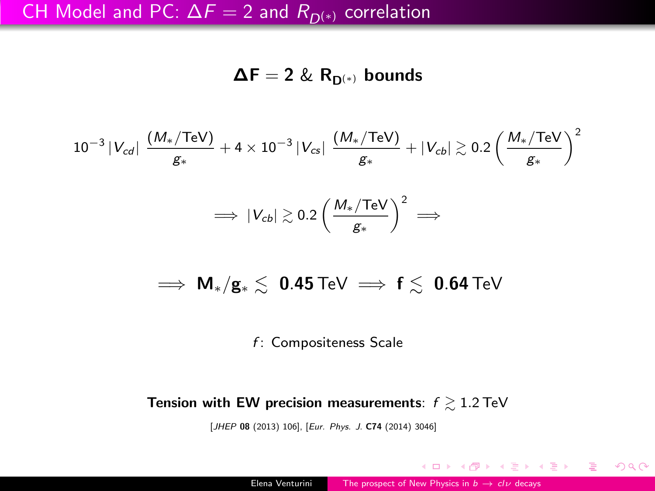#### CH Model and PC:  $\Delta F = 2$  and  $R_{D(*)}$  correlation

 $\Delta F = 2 \& R_{D^{(*)}}$  bounds

$$
10^{-3} |V_{cd}| \frac{(M_{*}/\text{TeV})}{g_{*}} + 4 \times 10^{-3} |V_{cs}| \frac{(M_{*}/\text{TeV})}{g_{*}} + |V_{cb}| \gtrsim 0.2 \left(\frac{M_{*}/\text{TeV}}{g_{*}}\right)^{2}
$$

$$
\implies |V_{cb}| \gtrsim 0.2 \left(\frac{M_{*}/\text{TeV}}{g_{*}}\right)^{2} \implies
$$

$$
\implies M_*/g_* \lesssim \ 0.45 \,\text{TeV} \implies f \lesssim \ 0.64 \,\text{TeV}
$$

f: Compositeness Scale

#### Tension with EW precision measurements:  $f \gtrsim 1.2$  TeV

[JHEP 08 (2013) 106], [Eur. Phys. J. C74 (2014) 3046]

4 D F

∢ 何 ゝ ∢ ヨ ゝ ∢ ヨ ゝ 。

目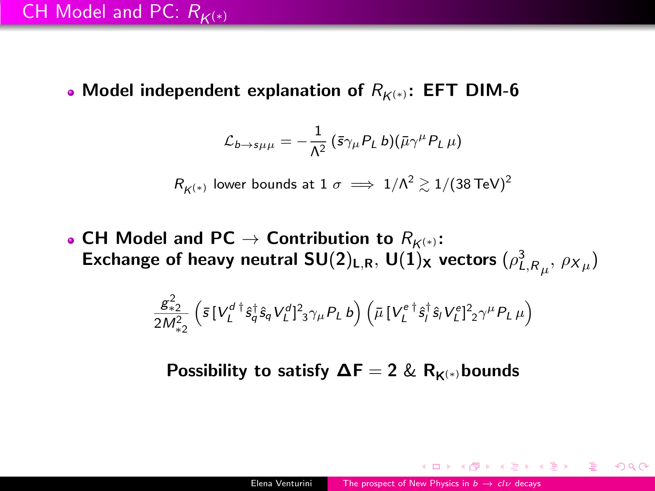• Model independent explanation of  $R_{K(*)}$ : EFT DIM-6

$$
\mathcal{L}_{b\rightarrow s\mu\mu} = -\frac{1}{\Lambda^2} \left( \bar{s} \gamma_\mu P_L b \right) \left( \bar{\mu} \gamma^\mu P_L \mu \right)
$$

 $R_{\mathcal{K}^{(*)}}$  lower bounds at  $1\ \sigma\implies 1/\Lambda^2\gtrsim 1/(38\,\text{TeV})^2$ 

• CH Model and PC  $\rightarrow$  Contribution to  $R_{K^{(*)}}$ : Exchange of heavy neutral SU(2)<sub>L,R</sub>, U(1)<sub>X</sub> vectors  $(\rho_{L,R_{\mu}}^{3},\,\rho_{X_{\mu}})$ 

$$
\frac{g_{*2}^2}{2M_{*2}^2}\left(\bar{s}\,[V_L^{d\,\dagger}\hat{s}_q^{\dagger}\hat{s}_qV_L^{d}]_{\,3}^2\gamma_{\mu}P_L\,b\right)\left(\bar{\mu}\,[V_L^{e\,\dagger}\hat{s}_l^{\dagger}\hat{s}_lV_L^{e}]_{\,2}^2\gamma^{\mu}P_L\,\mu\right)
$$

Possibility to satisfy  $\Delta F = 2 \& R_{K(*)}$ bounds

 $\left\{ \begin{array}{ccc} \pm & \pm & \pm \end{array} \right.$  and  $\left\{ \begin{array}{ccc} \pm & \pm & \pm \end{array} \right.$  and  $\left\{ \begin{array}{ccc} \pm & \pm & \pm \end{array} \right.$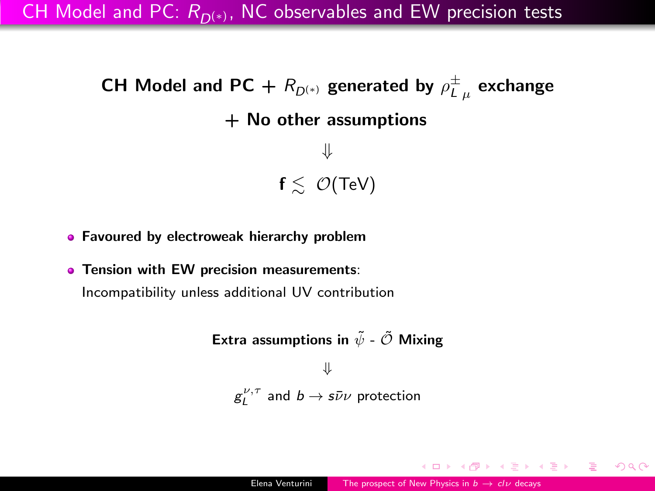CH Model and PC:  $R_{D(*)}$ , NC observables and EW precision tests

```
CH Model and PC + R_{D^{(*)}} generated by \rho^{\pm}_{L\,\,\mu} exchange
                 + No other assumptions
                               ⇓
                         f \leq O(TeV)
```
**• Favoured by electroweak hierarchy problem** 

**• Tension with EW precision measurements:** Incompatibility unless additional UV contribution

> Extra assumptions in  $\tilde{\psi}$  -  $\tilde{\mathcal{O}}$  Mixing ⇓  $g_L^{\nu,\tau}$  and  $b\to s\bar\nu\nu$  protection

何 → イヨ → イヨ → ニヨ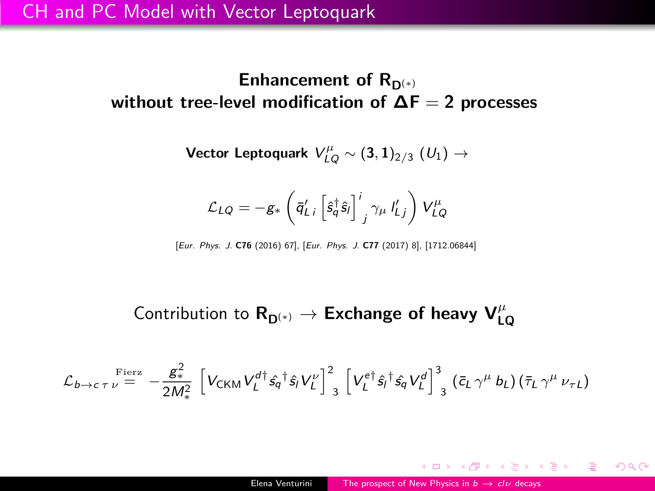Enhancement of  $R_{D(*)}$ without tree-level modification of  $\Delta F = 2$  processes

Vector Leptoquark  $\mathit{V}^{\mu}_{LQ}\sim(\mathbf{3},\mathbf{1})_{2/3}$   $(\mathit{U}_{1})\rightarrow$ 

$$
\mathcal{L}_{LQ} = -g_* \left( \bar{q}'_{Li} \left[ \hat{s}_q^{\dagger} \hat{s}_l \right]^{i}_{j} \gamma_{\mu} I'_{Lj} \right) V^{\mu}_{LQ}
$$

[Eur. Phys. J. C76 (2016) 67], [Eur. Phys. J. C77 (2017) 8], [1712.06844]

## Contribution to  $\mathsf{R}_{\mathsf{D}^{(*)}} \to \mathsf{Exchange}$  of heavy  $\mathsf{V}^\mu_{\mathsf{LQ}}$

$$
\mathcal{L}_{b\rightarrow c\tau\nu}^{\text{Fierz}} = -\frac{g_*^2}{2M_*^2} \left[ V_{\text{CKM}} V_L^{d\dagger} \hat{s_q}^{\dagger} \hat{s_l} V_L^{\nu} \right]_3^2 \left[ V_L^{e\dagger} \hat{s_l}^{\dagger} \hat{s_q} V_L^d \right]_3^3 (\bar{c}_L \gamma^{\mu} b_L) (\bar{\tau}_L \gamma^{\mu} \nu_{\tau L})
$$

メ御き メミメ メミメー

目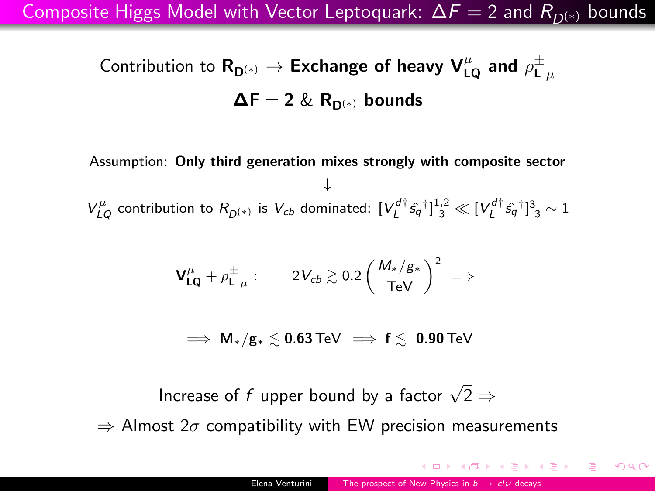Composite Higgs Model with Vector Leptoquark:  $\Delta F = 2$  and  $R_{D(*)}$  bounds

Contribution to  $\mathsf{R}_{\mathsf{D}^{(*)}} \to \mathsf{Exchange}$  of heavy  $\mathsf{V}^\mu_{\mathsf{LQ}}$  and  $\rho^\pm_{\mathsf{L}~\mu}$  $\Delta F = 2 \& R_{D(*)}$  bounds

Assumption: Only third generation mixes strongly with composite sector ↓  $V_{LQ}^{\mu}$  contribution to  $R_{D^{(*)}}$  is  $V_{cb}$  dominated:  $[V_{L}^{d\dagger} \hat{s_q}^{\dagger}]_{3}^{1,2} \ll [V_{L}^{d\dagger} \hat{s_q}^{\dagger}]_{3}^{3} \sim 1$ 

$$
\bm{V_{LQ}^\mu}+\rho_{\bm{L}\ \mu}^{\pm}: \qquad 2V_{cb}\gtrsim 0.2\left(\frac{M_*/g_*}{\text{TeV}}\right)^2\implies
$$

 $\Rightarrow$  M<sub>\*</sub>/g<sub>\*</sub>  $\leq$  0.63 TeV  $\Rightarrow$  f  $\leq$  0.90 TeV

Increase of  $f$  upper bound by a factor  $\sqrt{2} \Rightarrow$ 

 $\Rightarrow$  Almost 2 $\sigma$  compatibility with EW precision measurements

 $QQ$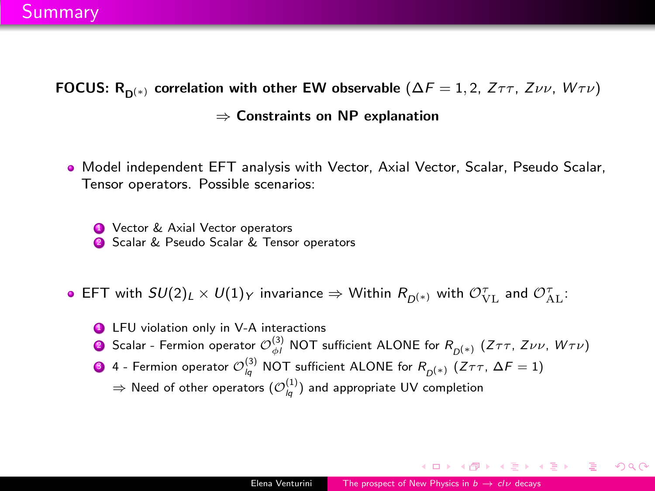FOCUS: R<sub>D(\*)</sub> correlation with other EW observable ( $\Delta F = 1, 2, Z \tau \tau$ , Zvv, W $\tau \nu$ ) ⇒ Constraints on NP explanation

Model independent EFT analysis with Vector, Axial Vector, Scalar, Pseudo Scalar, Tensor operators. Possible scenarios:

**4** Vector & Axial Vector operators **2** Scalar & Pseudo Scalar & Tensor operators

- EFT with  $SU(2)_L\times U(1)_Y$  invariance  $\Rightarrow$  Within  $R_{D^{(*)}}$  with  $\mathcal{O}_{\rm{VL}}^{\tau}$  and  $\mathcal{O}_{\rm{AL}}^{\tau}$ :
	- **4** LFU violation only in V-A interactions
	- $\bullet$  Scalar Fermion operator  ${\cal O}_{\phi I}^{(3)}$  NOT sufficient ALONE for  $R_{D^{(*)}}$   $(Z\tau\tau,$   $Z\nu\nu,$   $W\tau\nu)$
	- $\bullet$  4 Fermion operator  $\mathcal{O}^{(3)}_{lq}$  NOT sufficient ALONE for  $R_{D^{(\ast)}}$   $(\textsf{Z}\tau\tau,\,\Delta\digamma=1)$ 
		- $\Rightarrow$  Need of other operators  $({\cal O}^{(1)}_{lq})$  and appropriate UV completion

 $\mathcal{A} \oplus \mathcal{B}$  ,  $\mathcal{A} \oplus \mathcal{B}$  ,  $\mathcal{A} \oplus \mathcal{B}$ 

 $209$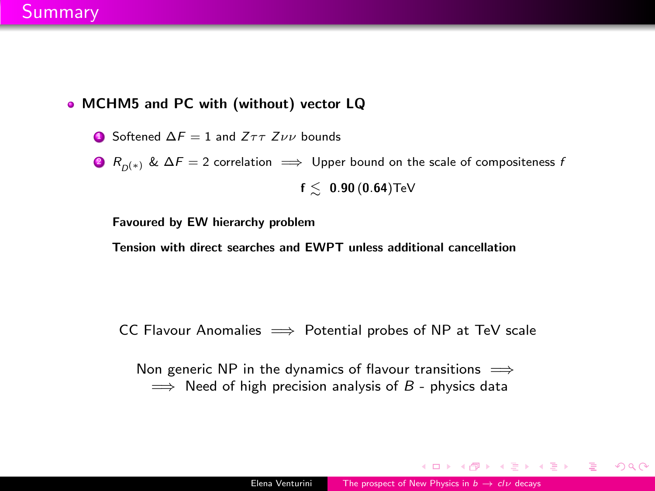#### **Summary**

- MCHM5 and PC with (without) vector LQ
	- **■** Softened  $\Delta F = 1$  and  $Z\tau\tau Z\nu\nu$  bounds
	- **2**  $R_{n(*)}$  &  $\Delta F = 2$  correlation  $\implies$  Upper bound on the scale of compositeness f  $f \leq 0.90$  (0.64)TeV

Favoured by EW hierarchy problem

Tension with direct searches and EWPT unless additional cancellation

CC Flavour Anomalies  $\implies$  Potential probes of NP at TeV scale

Non generic NP in the dynamics of flavour transitions  $\implies$  $\implies$  Need of high precision analysis of B - physics data

イロメ イ何メ イヨメ イヨメーヨ

 $\eta$ are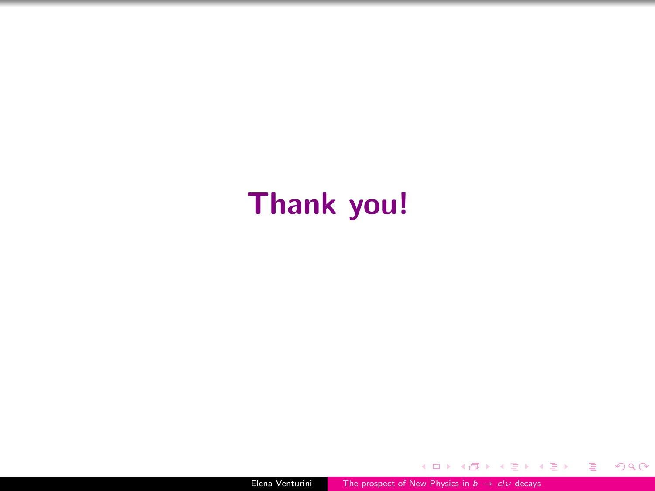# Thank you!

4 D F

a  $\rightarrow$ э  $\sim$  重

モミメ

 $299$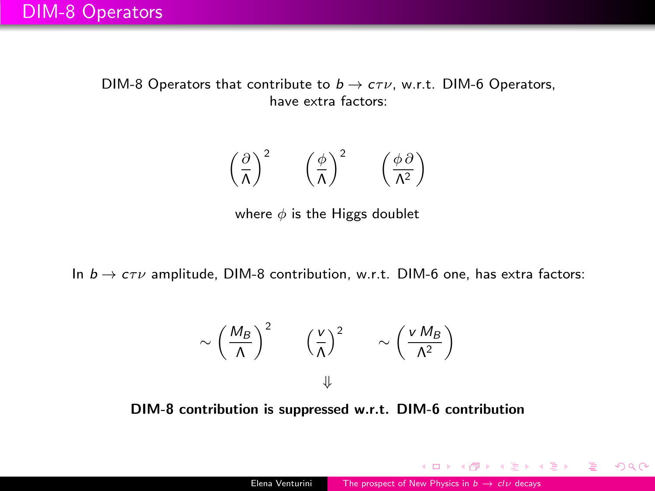DIM-8 Operators that contribute to  $b \to c\tau \nu$ , w.r.t. DIM-6 Operators, have extra factors:

$$
\left(\frac{\partial}{\Lambda}\right)^2 \quad \left(\frac{\phi}{\Lambda}\right)^2 \quad \left(\frac{\phi \partial}{\Lambda^2}\right)
$$

where  $\phi$  is the Higgs doublet

In  $b \to c\tau\nu$  amplitude, DIM-8 contribution, w.r.t. DIM-6 one, has extra factors:

$$
\sim \left(\frac{M_B}{\Lambda}\right)^2 \qquad \left(\frac{v}{\Lambda}\right)^2 \qquad \sim \left(\frac{v M_B}{\Lambda^2}\right)
$$

DIM-8 contribution is suppressed w.r.t. DIM-6 contribution

イロメ イ何 トイヨ トイヨメー

 $\eta$ are G.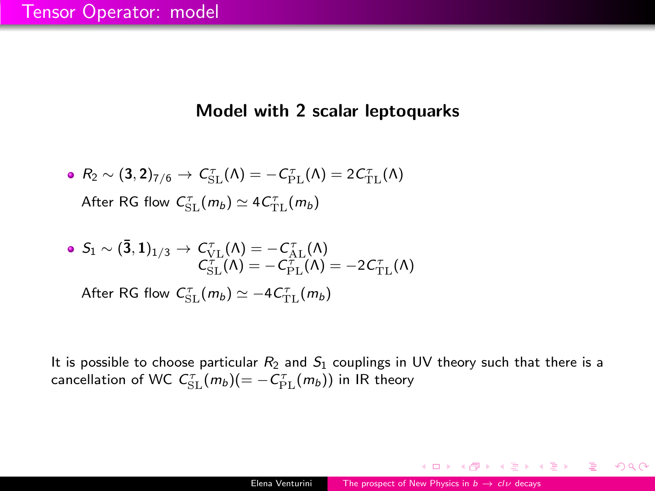#### Model with 2 scalar leptoquarks

\n- $$
R_2 \sim (3, 2)_{7/6} \rightarrow C_{\rm SL}^{\tau}(\Lambda) = -C_{\rm PL}^{\tau}(\Lambda) = 2C_{\rm TL}^{\tau}(\Lambda)
$$
 After RG flow  $C_{\rm SL}^{\tau}(m_b) \simeq 4C_{\rm TL}^{\tau}(m_b)$
\n

\n- \n
$$
S_1 \sim (\mathbf{\bar{3}}, \mathbf{1})_{1/3} \rightarrow C_{\text{VL}}^{\top}(\Lambda) = -C_{\text{AL}}^{\top}(\Lambda)
$$
\n
$$
C_{\text{SL}}^{\top}(\Lambda) = -C_{\text{PL}}^{\top}(\Lambda) = -2C_{\text{TL}}^{\top}(\Lambda)
$$
\n
\n- \n After RG flow\n  $C_{\text{SL}}^{\top}(m_b) \simeq -4C_{\text{TL}}^{\top}(m_b)$ \n
\n

It is possible to choose particular  $R_2$  and  $S_1$  couplings in UV theory such that there is a cancellation of WC  $C^\tau_{\mathrm{SL}}(m_b)(=-\mathcal{C}^\tau_{\mathrm{PL}}(m_b))$  in IR theory

4 D F

 $\langle \,\oplus\, \rangle$   $\rightarrow$   $\langle \,\oplus\, \rangle$   $\rightarrow$   $\langle \,\oplus\, \rangle$ 

э

 $QQ$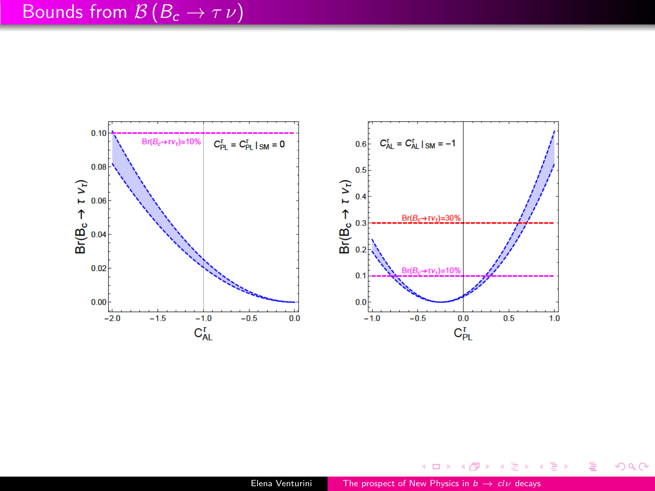



(ロ) ( d )

→ 店

重

メモト  $\rightarrow$ 

 $299$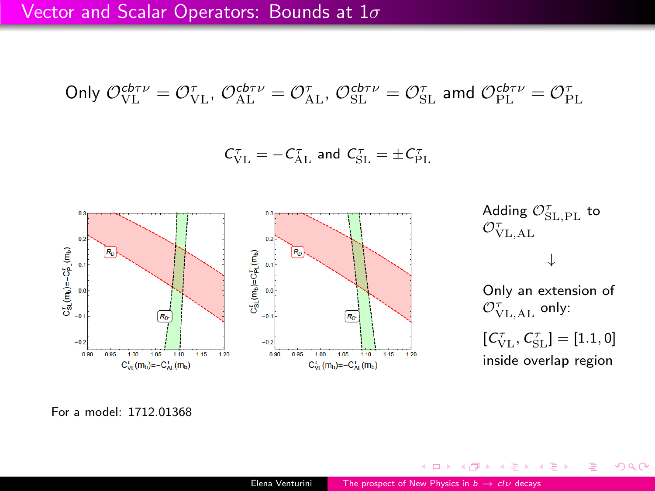Only 
$$
\mathcal{O}_{\text{VL}}^{\text{cb}\tau\nu} = \mathcal{O}_{\text{VL}}^{\tau}
$$
,  $\mathcal{O}_{\text{AL}}^{\text{cb}\tau\nu} = \mathcal{O}_{\text{AL}}^{\tau}$ ,  $\mathcal{O}_{\text{SL}}^{\text{cb}\tau\nu} = \mathcal{O}_{\text{SL}}^{\tau}$  and  $\mathcal{O}_{\text{PL}}^{\text{cb}\tau\nu} = \mathcal{O}_{\text{PL}}^{\tau}$ 

 $\mathcal{C}^{\tau}_{\mathrm{VL}} = - \mathcal{C}^{\tau}_{\mathrm{AL}}$  and  $\mathcal{C}^{\tau}_{\mathrm{SL}} = \pm \mathcal{C}^{\tau}_{\mathrm{PL}}$ 



Adding  $\mathcal{O}_{\operatorname{SL},\operatorname{PL}}^{\tau}$  to  $\mathcal{O}^\tau_{\text{VL},\text{AL}}$ 

#### ↓

Only an extension of  $\mathcal{O}^{\tau}_{\text{VL},\text{AL}}$  only:

 $\left[C^\tau_{\rm VL}, C^\tau_{\rm SL}\right] = \left[1.1, 0\right]$ inside overlap region

→ 手→

 $299$ 

э

For a model: 1712.01368

 $\leftarrow$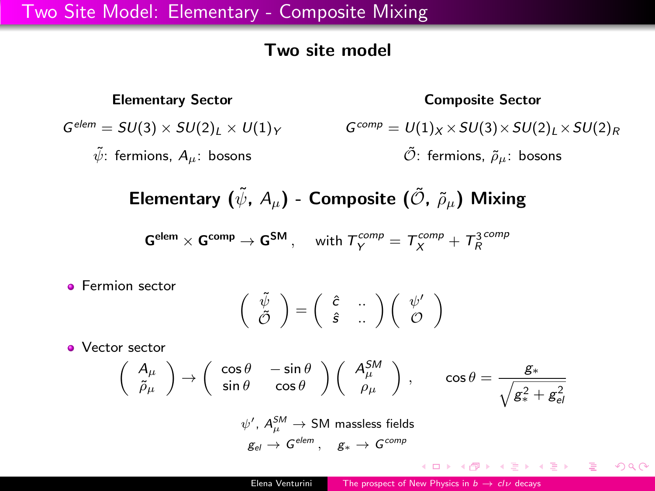#### Two site model

#### Elementary Sector  $G^{elem} = SU(3) \times SU(2)_L \times U(1)_Y$  $\tilde{\psi}$ : fermions,  $A_{\mu}$ : bosons Composite Sector  $G^{comp} = U(1)_X \times SU(3) \times SU(2)_I \times SU(2)_R$  $\tilde{\mathcal{O}}$ : fermions,  $\tilde{\rho}_u$ : bosons

Elementary  $(\tilde{\psi}, A_{\mu})$  - Composite  $(\tilde{\mathcal{O}}, \tilde{\rho}_{\mu})$  Mixing

 $\mathsf{G}^\mathsf{elem} \times \mathsf{G}^\mathsf{comp} \to \mathsf{G}^\mathsf{SM}\,, \quad \text{ with } \mathcal{T}^\mathsf{comp}_\mathsf{Y} = \mathcal{T}^\mathsf{comp}_X + \mathcal{T}^\mathsf{3\,comp}_R$ 

**•** Fermion sector

$$
\left(\begin{array}{c} \tilde{\psi} \\ \tilde{\mathcal{O}} \end{array}\right) = \left(\begin{array}{c} \hat{\varepsilon} & \cdots \\ \hat{\varepsilon} & \cdots \end{array}\right) \left(\begin{array}{c} \psi' \\ \mathcal{O} \end{array}\right)
$$

**•** Vector sector

$$
\begin{pmatrix}\nA_{\mu} \\
\tilde{\rho}_{\mu}\n\end{pmatrix}\n\rightarrow\n\begin{pmatrix}\n\cos\theta & -\sin\theta \\
\sin\theta & \cos\theta\n\end{pmatrix}\n\begin{pmatrix}\nA_{\mu}^{SM} \\
\rho_{\mu}\n\end{pmatrix},\n\qquad\n\cos\theta = \frac{g_*}{\sqrt{g_*^2 + g_{el}^2}}
$$
\n
$$
\psi', A_{\mu}^{SM} \rightarrow SM \text{ massless fields}
$$

$$
g_{el}\,\rightarrow\,G^{elem}\,,\quad g_*\,\rightarrow\,G^{comp}
$$

KID KAD KID KID KID OKO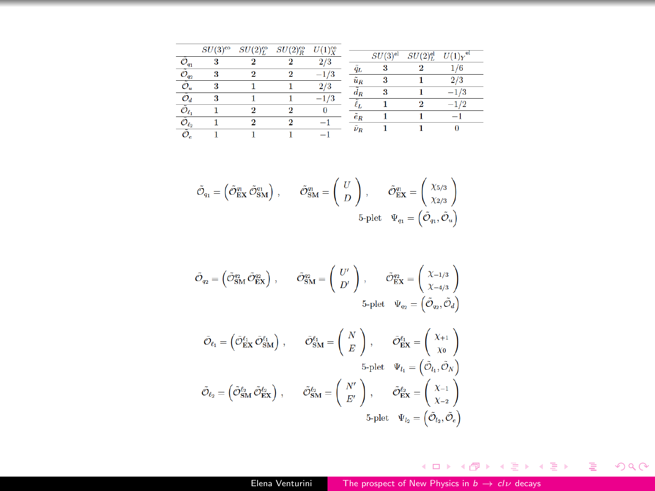|               | $SU(3)^{co}$ | SU(2) <sub>L</sub> <sup>co</sup> | $SU(2)_{R}^{co}$ | U(1) |               | $SU(3)$ <sup>el</sup> |                       |    |
|---------------|--------------|----------------------------------|------------------|------|---------------|-----------------------|-----------------------|----|
|               |              |                                  |                  |      |               |                       | $SU(2)$ <sup>el</sup> |    |
| $\frac{1}{q}$ |              |                                  |                  |      | qı            |                       |                       |    |
|               |              |                                  |                  |      | $\tilde{u}_R$ |                       |                       | 73 |
|               |              |                                  |                  |      |               |                       |                       | -  |
|               |              |                                  |                  |      |               |                       |                       | -  |
|               |              |                                  |                  |      | $\tilde{e}_R$ |                       |                       |    |
|               |              |                                  |                  |      | $\nu_R$       |                       |                       |    |

$$
\tilde{\mathcal{O}}_{q_1} = \begin{pmatrix} \tilde{\mathcal{O}}_{\text{EX}}^{\text{q_1}} \, \tilde{\mathcal{O}}_{\text{SM}}^{\text{q_1}} \end{pmatrix} \,, \qquad \tilde{\mathcal{O}}_{\text{SM}}^{\text{q_1}} = \begin{pmatrix} U \\ D \end{pmatrix} \,, \qquad \tilde{\mathcal{O}}_{\text{EX}}^{\text{q_1}} = \begin{pmatrix} \chi_{5/3} \\ \chi_{2/3} \end{pmatrix} \,
$$
  
5-plet  $\Psi_{q_1} = \begin{pmatrix} \tilde{\mathcal{O}}_{q_1}, \tilde{\mathcal{O}}_u \end{pmatrix}$ 

$$
\label{eq:O} \bar{\mathcal{O}}_{\eta_2} = \begin{pmatrix} \bar{\mathcal{O}}_{\text{SM}}^{\text{m}} \, \bar{\mathcal{O}}_{\text{EX}}^{\text{m}} \end{pmatrix} \,, \qquad \bar{\mathcal{O}}_{\text{SM}}^{\text{m}} = \begin{pmatrix} U' \\ D' \end{pmatrix} \,, \qquad \bar{\mathcal{O}}_{\text{EX}}^{\text{m}} = \begin{pmatrix} \chi_{-1/3} \\ \chi_{-4/3} \\ \chi_{-4/3} \end{pmatrix}
$$
 
$$
5\text{-plet} \quad \Psi_{q_2} = \begin{pmatrix} \bar{\mathcal{O}}_{q_2}, \bar{\mathcal{O}}_{d} \end{pmatrix}
$$

$$
\begin{aligned} \hat{\mathcal{O}}_{\ell_1} = \left( \hat{\mathcal{O}}_{\text{EX}}^{\ell_1} \, \hat{\mathcal{O}}_{\text{SM}}^{\ell_1} \right) \,, \qquad \hat{\mathcal{O}}_{\text{SM}}^{\ell_1} = \left( \begin{array}{c} N \\ E \end{array} \right) \,, \qquad \hat{\mathcal{O}}_{\text{EX}}^{\ell_1} = \left( \begin{array}{c} \chi_{+1} \\ \chi_{0} \end{array} \right) \\ \tilde{\mathcal{O}}_{\ell_2} = \left( \hat{\mathcal{O}}_{\text{SM}}^{\ell_2} \, \hat{\mathcal{O}}_{\text{EX}}^{\ell_2} \right) \,, \qquad \tilde{\mathcal{O}}_{\text{SM}}^{\ell_2} = \left( \begin{array}{c} N' \\ E' \end{array} \right) \,, \qquad \tilde{\mathcal{O}}_{\text{EX}}^{\ell_2} = \left( \begin{array}{c} \chi_{-1} \\ \chi_{-2} \end{array} \right) \\ \text{5-plet} \quad \Psi_{\ell_2} = \left( \hat{\mathcal{O}}_{\ell_2}^{\ell_1} \hat{\mathcal{O}}_{\ell_2}^{\ell_2} \right) \end{aligned}
$$

K ロ ▶ K @ ▶ K 할 ▶ K 할 ▶ 이 할 → 90 Q ^